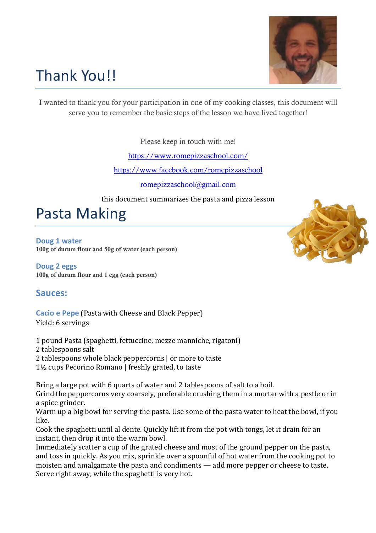

# Thank You!!

I wanted to thank you for your participation in one of my cooking classes, this document will serve you to remember the basic steps of the lesson we have lived together!

Please keep in touch with me!

https://www.romepizzaschool.com/

https://www.facebook.com/romepizzaschool

romepizzaschool@gmail.com

this document summarizes the pasta and pizza lesson

Pasta Making

**Doug 1 water** 100g of durum flour and 50g of water (each person)

**Doug 2 eggs** 100g of durum flour and 1 egg (each person)

#### **Sauces:**

**Cacio e Pepe** (Pasta with Cheese and Black Pepper) Yield: 6 servings

1 pound Pasta (spaghetti, fettuccine, mezze manniche, rigatoni)

- 2 tablespoons salt
- 2 tablespoons whole black peppercorns  $\vert$  or more to taste
- $1\frac{1}{2}$  cups Pecorino Romano | freshly grated, to taste

Bring a large pot with 6 quarts of water and 2 tablespoons of salt to a boil. Grind the peppercorns very coarsely, preferable crushing them in a mortar with a pestle or in a spice grinder.

Warm up a big bowl for serving the pasta. Use some of the pasta water to heat the bowl, if you like.

Cook the spaghetti until al dente. Quickly lift it from the pot with tongs, let it drain for an instant, then drop it into the warm bowl.

Immediately scatter a cup of the grated cheese and most of the ground pepper on the pasta, and toss in quickly. As you mix, sprinkle over a spoonful of hot water from the cooking pot to moisten and amalgamate the pasta and condiments  $-$  add more pepper or cheese to taste. Serve right away, while the spaghetti is very hot.

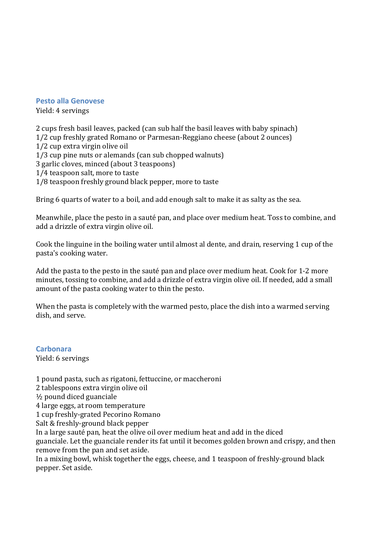#### **Pesto alla Genovese**

Yield: 4 servings

2 cups fresh basil leaves, packed (can sub half the basil leaves with baby spinach) 1/2 cup freshly grated Romano or Parmesan-Reggiano cheese (about 2 ounces) 1/2 cup extra virgin olive oil 1/3 cup pine nuts or alemands (can sub chopped walnuts) 3 garlic cloves, minced (about 3 teaspoons) 1/4 teaspoon salt, more to taste 1/8 teaspoon freshly ground black pepper, more to taste

Bring 6 quarts of water to a boil, and add enough salt to make it as salty as the sea.

Meanwhile, place the pesto in a sauté pan, and place over medium heat. Toss to combine, and add a drizzle of extra virgin olive oil.

Cook the linguine in the boiling water until almost al dente, and drain, reserving 1 cup of the pasta's cooking water.

Add the pasta to the pesto in the sauté pan and place over medium heat. Cook for 1-2 more minutes, tossing to combine, and add a drizzle of extra virgin olive oil. If needed, add a small amount of the pasta cooking water to thin the pesto.

When the pasta is completely with the warmed pesto, place the dish into a warmed serving dish, and serve.

**Carbonara** Yield: 6 servings

1 pound pasta, such as rigatoni, fettuccine, or maccheroni 2 tablespoons extra virgin olive oil  $\frac{1}{2}$  pound diced guanciale

4 large eggs, at room temperature

1 cup freshly-grated Pecorino Romano

Salt & freshly-ground black pepper

In a large sauté pan, heat the olive oil over medium heat and add in the diced

guanciale. Let the guanciale render its fat until it becomes golden brown and crispy, and then remove from the pan and set aside.

In a mixing bowl, whisk together the eggs, cheese, and 1 teaspoon of freshly-ground black pepper. Set aside.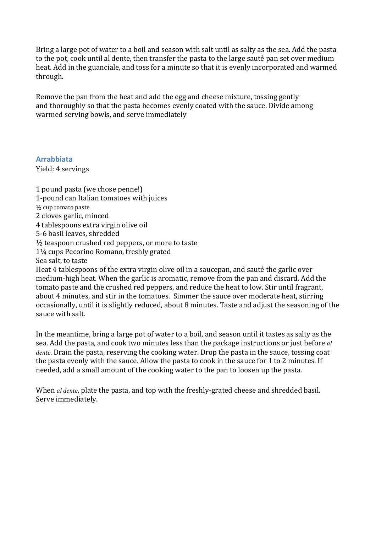Bring a large pot of water to a boil and season with salt until as salty as the sea. Add the pasta to the pot, cook until al dente, then transfer the pasta to the large sauté pan set over medium heat. Add in the guanciale, and toss for a minute so that it is evenly incorporated and warmed through.

Remove the pan from the heat and add the egg and cheese mixture, tossing gently and thoroughly so that the pasta becomes evenly coated with the sauce. Divide among warmed serving bowls, and serve immediately

**Arrabbiata** Yield: 4 servings

1 pound pasta (we chose penne!) 1-pound can Italian tomatoes with juices  $\frac{1}{2}$  cup tomato paste 2 cloves garlic, minced 4 tablespoons extra virgin olive oil 5-6 basil leaves, shredded  $\frac{1}{2}$  teaspoon crushed red peppers, or more to taste 1¼ cups Pecorino Romano, freshly grated Sea salt, to taste

Heat 4 tablespoons of the extra virgin olive oil in a saucepan, and sauté the garlic over medium-high heat. When the garlic is aromatic, remove from the pan and discard. Add the tomato paste and the crushed red peppers, and reduce the heat to low. Stir until fragrant, about 4 minutes, and stir in the tomatoes. Simmer the sauce over moderate heat, stirring occasionally, until it is slightly reduced, about 8 minutes. Taste and adjust the seasoning of the sauce with salt.

In the meantime, bring a large pot of water to a boil, and season until it tastes as salty as the sea. Add the pasta, and cook two minutes less than the package instructions or just before *al dente*. Drain the pasta, reserving the cooking water. Drop the pasta in the sauce, tossing coat the pasta evenly with the sauce. Allow the pasta to cook in the sauce for 1 to 2 minutes. If needed, add a small amount of the cooking water to the pan to loosen up the pasta.

When *al dente*, plate the pasta, and top with the freshly-grated cheese and shredded basil. Serve immediately.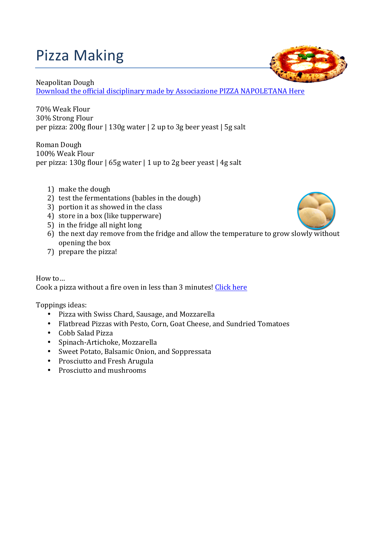## Pizza Making

### Neapolitan Dough

Download the official disciplinary made by Associazione PIZZA NAPOLETANA Here

70% Weak Flour 30% Strong Flour per pizza:  $200g$  flour |  $130g$  water | 2 up to  $3g$  beer yeast | 5g salt

Roman Dough 100% Weak Flour per pizza:  $130g$  flour  $\mid 65g$  water  $\mid 1$  up to 2g beer yeast  $\mid 4g$  salt

- 1) make the dough
- 2) test the fermentations (bables in the dough)
- 3) portion it as showed in the class
- 4) store in a box (like tupperware)
- 5) in the fridge all night  $\log$
- $6)$  the next day remove from the fridge and allow the temperature to grow slowly without opening the box
- 7) prepare the pizza!

How to… Cook a pizza without a fire oven in less than 3 minutes! Click here

Toppings ideas:

- Pizza with Swiss Chard, Sausage, and Mozzarella
- Flatbread Pizzas with Pesto, Corn, Goat Cheese, and Sundried Tomatoes
- Cobb Salad Pizza
- Spinach-Artichoke, Mozzarella
- Sweet Potato, Balsamic Onion, and Soppressata
- Prosciutto and Fresh Arugula
- Prosciutto and mushrooms